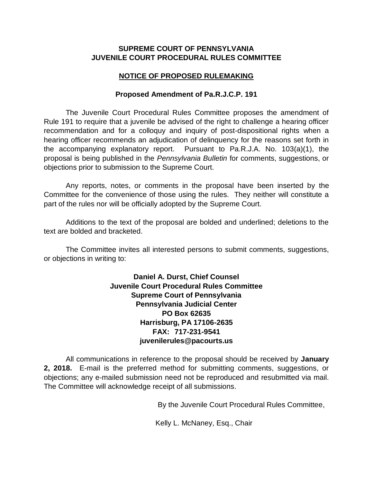## **SUPREME COURT OF PENNSYLVANIA JUVENILE COURT PROCEDURAL RULES COMMITTEE**

## **NOTICE OF PROPOSED RULEMAKING**

### **Proposed Amendment of Pa.R.J.C.P. 191**

The Juvenile Court Procedural Rules Committee proposes the amendment of Rule 191 to require that a juvenile be advised of the right to challenge a hearing officer recommendation and for a colloquy and inquiry of post-dispositional rights when a hearing officer recommends an adjudication of delinquency for the reasons set forth in the accompanying explanatory report. Pursuant to Pa.R.J.A. No. 103(a)(1), the proposal is being published in the *Pennsylvania Bulletin* for comments, suggestions, or objections prior to submission to the Supreme Court.

Any reports, notes, or comments in the proposal have been inserted by the Committee for the convenience of those using the rules. They neither will constitute a part of the rules nor will be officially adopted by the Supreme Court.

Additions to the text of the proposal are bolded and underlined; deletions to the text are bolded and bracketed.

The Committee invites all interested persons to submit comments, suggestions, or objections in writing to:

> **Daniel A. Durst, Chief Counsel Juvenile Court Procedural Rules Committee Supreme Court of Pennsylvania Pennsylvania Judicial Center PO Box 62635 Harrisburg, PA 17106-2635 FAX: 717-231-9541 juvenilerules@pacourts.us**

All communications in reference to the proposal should be received by **January 2, 2018.** E-mail is the preferred method for submitting comments, suggestions, or objections; any e-mailed submission need not be reproduced and resubmitted via mail. The Committee will acknowledge receipt of all submissions.

By the Juvenile Court Procedural Rules Committee,

Kelly L. McNaney, Esq., Chair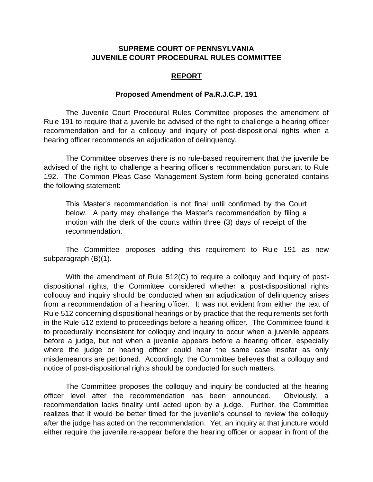### **SUPREME COURT OF PENNSYLVANIA JUVENILE COURT PROCEDURAL RULES COMMITTEE**

#### **REPORT**

#### **Proposed Amendment of Pa.R.J.C.P. 191**

The Juvenile Court Procedural Rules Committee proposes the amendment of Rule 191 to require that a juvenile be advised of the right to challenge a hearing officer recommendation and for a colloquy and inquiry of post-dispositional rights when a hearing officer recommends an adjudication of delinquency.

The Committee observes there is no rule-based requirement that the juvenile be advised of the right to challenge a hearing officer's recommendation pursuant to Rule 192. The Common Pleas Case Management System form being generated contains the following statement:

This Master's recommendation is not final until confirmed by the Court below. A party may challenge the Master's recommendation by filing a motion with the clerk of the courts within three (3) days of receipt of the recommendation.

The Committee proposes adding this requirement to Rule 191 as new subparagraph (B)(1).

With the amendment of Rule 512(C) to require a colloquy and inquiry of postdispositional rights, the Committee considered whether a post-dispositional rights colloquy and inquiry should be conducted when an adjudication of delinquency arises from a recommendation of a hearing officer. It was not evident from either the text of Rule 512 concerning dispositional hearings or by practice that the requirements set forth in the Rule 512 extend to proceedings before a hearing officer. The Committee found it to procedurally inconsistent for colloquy and inquiry to occur when a juvenile appears before a judge, but not when a juvenile appears before a hearing officer, especially where the judge or hearing officer could hear the same case insofar as only misdemeanors are petitioned. Accordingly, the Committee believes that a colloquy and notice of post-dispositional rights should be conducted for such matters.

The Committee proposes the colloquy and inquiry be conducted at the hearing officer level after the recommendation has been announced. Obviously, a recommendation lacks finality until acted upon by a judge. Further, the Committee realizes that it would be better timed for the juvenile's counsel to review the colloquy after the judge has acted on the recommendation. Yet, an inquiry at that juncture would either require the juvenile re-appear before the hearing officer or appear in front of the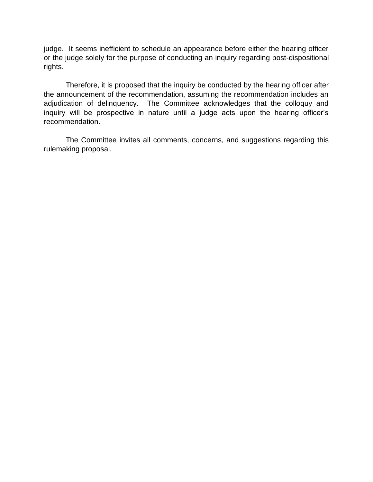judge. It seems inefficient to schedule an appearance before either the hearing officer or the judge solely for the purpose of conducting an inquiry regarding post-dispositional rights.

Therefore, it is proposed that the inquiry be conducted by the hearing officer after the announcement of the recommendation, assuming the recommendation includes an adjudication of delinquency. The Committee acknowledges that the colloquy and inquiry will be prospective in nature until a judge acts upon the hearing officer's recommendation.

The Committee invites all comments, concerns, and suggestions regarding this rulemaking proposal.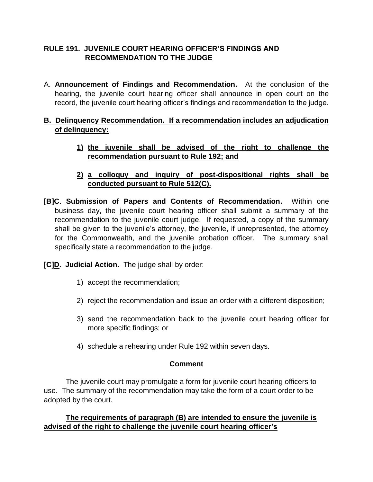# **RULE 191. JUVENILE COURT HEARING OFFICER'S FINDINGS AND RECOMMENDATION TO THE JUDGE**

A. **Announcement of Findings and Recommendation.** At the conclusion of the hearing, the juvenile court hearing officer shall announce in open court on the record, the juvenile court hearing officer's findings and recommendation to the judge.

# **B. Delinquency Recommendation. If a recommendation includes an adjudication of delinquency:**

- **1) the juvenile shall be advised of the right to challenge the recommendation pursuant to Rule 192; and**
- **2) a colloquy and inquiry of post-dispositional rights shall be conducted pursuant to Rule 512(C).**
- **[B]C**. **Submission of Papers and Contents of Recommendation.** Within one business day, the juvenile court hearing officer shall submit a summary of the recommendation to the juvenile court judge. If requested, a copy of the summary shall be given to the juvenile's attorney, the juvenile, if unrepresented, the attorney for the Commonwealth, and the juvenile probation officer. The summary shall specifically state a recommendation to the judge.

**[C]D**. **Judicial Action.** The judge shall by order:

- 1) accept the recommendation;
- 2) reject the recommendation and issue an order with a different disposition;
- 3) send the recommendation back to the juvenile court hearing officer for more specific findings; or
- 4) schedule a rehearing under Rule 192 within seven days.

### **Comment**

 The juvenile court may promulgate a form for juvenile court hearing officers to use. The summary of the recommendation may take the form of a court order to be adopted by the court.

# **The requirements of paragraph (B) are intended to ensure the juvenile is advised of the right to challenge the juvenile court hearing officer's**